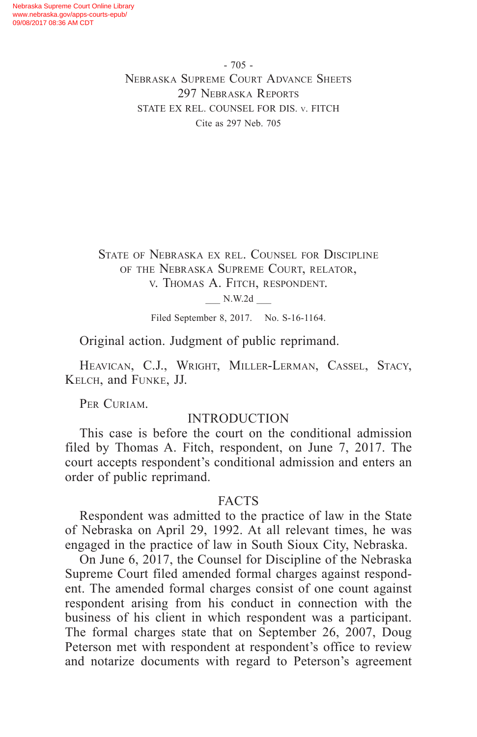- 705 - Nebraska Supreme Court Advance Sheets 297 Nebraska Reports STATE EX REL. COUNSEL FOR DIS. v. FITCH Cite as 297 Neb. 705

State of Nebraska ex rel. Counsel for Discipline of the Nebraska Supreme Court, relator, v. Thomas A. Fitch, respondent.

\_\_\_ N.W.2d \_\_\_

Filed September 8, 2017. No. S-16-1164.

Original action. Judgment of public reprimand.

HEAVICAN, C.J., WRIGHT, MILLER-LERMAN, CASSEL, STACY, Kelch, and Funke, JJ.

PER CURIAM.

## **INTRODUCTION**

This case is before the court on the conditional admission filed by Thomas A. Fitch, respondent, on June 7, 2017. The court accepts respondent's conditional admission and enters an order of public reprimand.

## FACTS

Respondent was admitted to the practice of law in the State of Nebraska on April 29, 1992. At all relevant times, he was engaged in the practice of law in South Sioux City, Nebraska.

On June 6, 2017, the Counsel for Discipline of the Nebraska Supreme Court filed amended formal charges against respondent. The amended formal charges consist of one count against respondent arising from his conduct in connection with the business of his client in which respondent was a participant. The formal charges state that on September 26, 2007, Doug Peterson met with respondent at respondent's office to review and notarize documents with regard to Peterson's agreement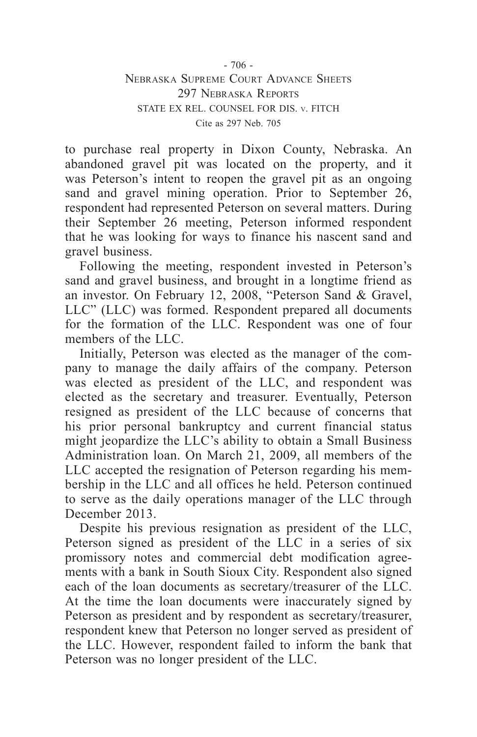to purchase real property in Dixon County, Nebraska. An abandoned gravel pit was located on the property, and it was Peterson's intent to reopen the gravel pit as an ongoing sand and gravel mining operation. Prior to September 26, respondent had represented Peterson on several matters. During their September 26 meeting, Peterson informed respondent that he was looking for ways to finance his nascent sand and gravel business.

Following the meeting, respondent invested in Peterson's sand and gravel business, and brought in a longtime friend as an investor. On February 12, 2008, "Peterson Sand & Gravel, LLC" (LLC) was formed. Respondent prepared all documents for the formation of the LLC. Respondent was one of four members of the LLC.

Initially, Peterson was elected as the manager of the company to manage the daily affairs of the company. Peterson was elected as president of the LLC, and respondent was elected as the secretary and treasurer. Eventually, Peterson resigned as president of the LLC because of concerns that his prior personal bankruptcy and current financial status might jeopardize the LLC's ability to obtain a Small Business Administration loan. On March 21, 2009, all members of the LLC accepted the resignation of Peterson regarding his membership in the LLC and all offices he held. Peterson continued to serve as the daily operations manager of the LLC through December 2013.

Despite his previous resignation as president of the LLC, Peterson signed as president of the LLC in a series of six promissory notes and commercial debt modification agreements with a bank in South Sioux City. Respondent also signed each of the loan documents as secretary/treasurer of the LLC. At the time the loan documents were inaccurately signed by Peterson as president and by respondent as secretary/treasurer, respondent knew that Peterson no longer served as president of the LLC. However, respondent failed to inform the bank that Peterson was no longer president of the LLC.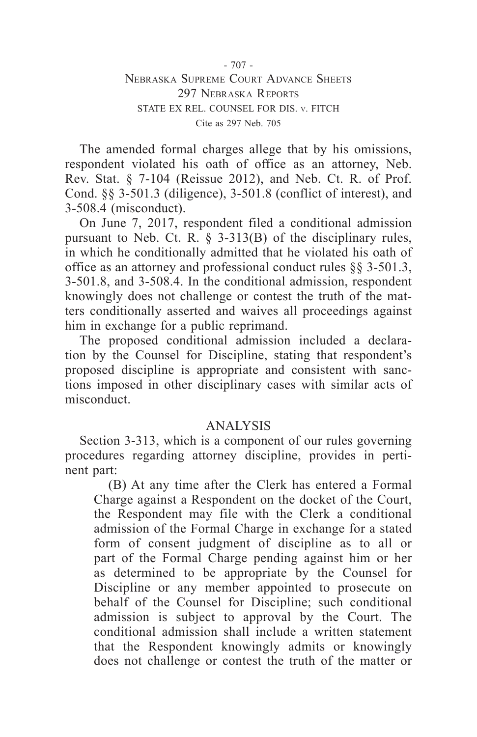- 707 - Nebraska Supreme Court Advance Sheets 297 NEBRASKA REPORTS STATE EX REL. COUNSEL FOR DIS. v. FITCH Cite as 297 Neb. 705

The amended formal charges allege that by his omissions, respondent violated his oath of office as an attorney, Neb. Rev. Stat. § 7-104 (Reissue 2012), and Neb. Ct. R. of Prof. Cond. §§ 3-501.3 (diligence), 3-501.8 (conflict of interest), and 3-508.4 (misconduct).

On June 7, 2017, respondent filed a conditional admission pursuant to Neb. Ct. R.  $\S$  3-313(B) of the disciplinary rules, in which he conditionally admitted that he violated his oath of office as an attorney and professional conduct rules §§ 3-501.3, 3-501.8, and 3-508.4. In the conditional admission, respondent knowingly does not challenge or contest the truth of the matters conditionally asserted and waives all proceedings against him in exchange for a public reprimand.

The proposed conditional admission included a declaration by the Counsel for Discipline, stating that respondent's proposed discipline is appropriate and consistent with sanctions imposed in other disciplinary cases with similar acts of misconduct.

## ANALYSIS

Section 3-313, which is a component of our rules governing procedures regarding attorney discipline, provides in pertinent part:

(B) At any time after the Clerk has entered a Formal Charge against a Respondent on the docket of the Court, the Respondent may file with the Clerk a conditional admission of the Formal Charge in exchange for a stated form of consent judgment of discipline as to all or part of the Formal Charge pending against him or her as determined to be appropriate by the Counsel for Discipline or any member appointed to prosecute on behalf of the Counsel for Discipline; such conditional admission is subject to approval by the Court. The conditional admission shall include a written statement that the Respondent knowingly admits or knowingly does not challenge or contest the truth of the matter or